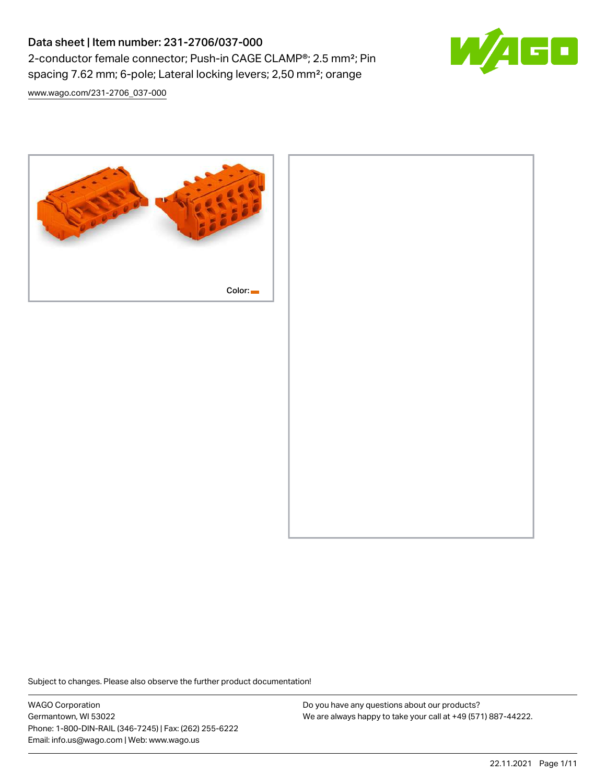# Data sheet | Item number: 231-2706/037-000 2-conductor female connector; Push-in CAGE CLAMP®; 2.5 mm²; Pin spacing 7.62 mm; 6-pole; Lateral locking levers; 2,50 mm²; orange



[www.wago.com/231-2706\\_037-000](http://www.wago.com/231-2706_037-000)



Subject to changes. Please also observe the further product documentation!

WAGO Corporation Germantown, WI 53022 Phone: 1-800-DIN-RAIL (346-7245) | Fax: (262) 255-6222 Email: info.us@wago.com | Web: www.wago.us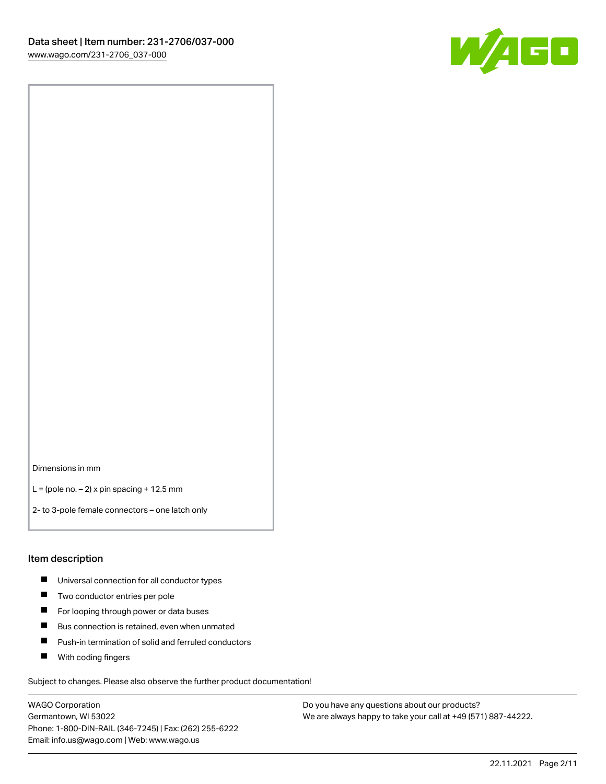

Dimensions in mm

 $L =$  (pole no.  $-2$ ) x pin spacing + 12.5 mm

2- to 3-pole female connectors – one latch only

#### Item description

- **Universal connection for all conductor types**
- **Two conductor entries per pole**
- $\blacksquare$ For looping through power or data buses
- $\blacksquare$ Bus connection is retained, even when unmated
- $\blacksquare$ Push-in termination of solid and ferruled conductors
- $\blacksquare$ With coding fingers

Subject to changes. Please also observe the further product documentation!

WAGO Corporation Germantown, WI 53022 Phone: 1-800-DIN-RAIL (346-7245) | Fax: (262) 255-6222 Email: info.us@wago.com | Web: www.wago.us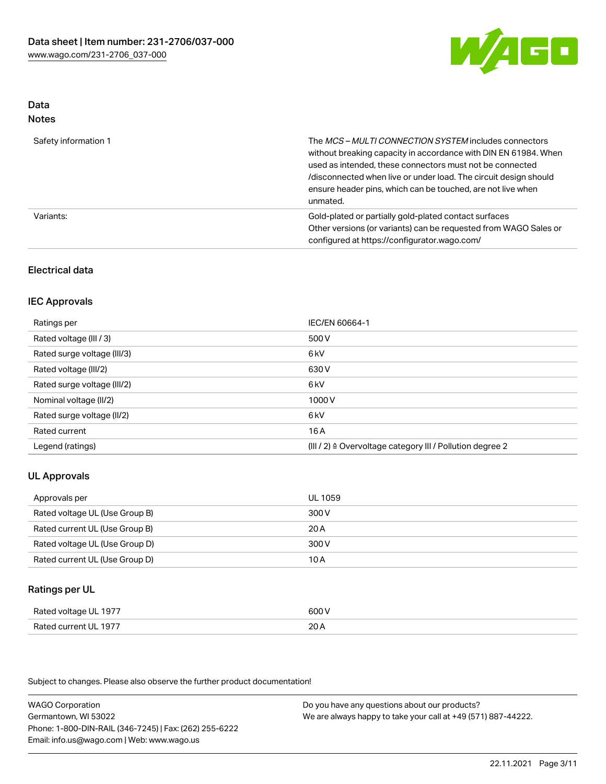

#### Data Notes

| .                    |                                                                                                                                                                                                                                                                                                                                   |
|----------------------|-----------------------------------------------------------------------------------------------------------------------------------------------------------------------------------------------------------------------------------------------------------------------------------------------------------------------------------|
| Safety information 1 | The MCS-MULTI CONNECTION SYSTEM includes connectors<br>without breaking capacity in accordance with DIN EN 61984. When<br>used as intended, these connectors must not be connected<br>/disconnected when live or under load. The circuit design should<br>ensure header pins, which can be touched, are not live when<br>unmated. |
| Variants:            | Gold-plated or partially gold-plated contact surfaces<br>Other versions (or variants) can be requested from WAGO Sales or<br>configured at https://configurator.wago.com/                                                                                                                                                         |

## Electrical data

## IEC Approvals

| Ratings per                 | IEC/EN 60664-1                                                        |
|-----------------------------|-----------------------------------------------------------------------|
| Rated voltage (III / 3)     | 500 V                                                                 |
| Rated surge voltage (III/3) | 6 <sub>k</sub> V                                                      |
| Rated voltage (III/2)       | 630 V                                                                 |
| Rated surge voltage (III/2) | 6 <sub>k</sub> V                                                      |
| Nominal voltage (II/2)      | 1000 V                                                                |
| Rated surge voltage (II/2)  | 6 kV                                                                  |
| Rated current               | 16 A                                                                  |
| Legend (ratings)            | $(III / 2)$ $\triangle$ Overvoltage category III / Pollution degree 2 |

## UL Approvals

| Approvals per                  | UL 1059 |
|--------------------------------|---------|
| Rated voltage UL (Use Group B) | 300 V   |
| Rated current UL (Use Group B) | 20 A    |
| Rated voltage UL (Use Group D) | 300 V   |
| Rated current UL (Use Group D) | 10 A    |

#### Ratings per UL

| Rated voltage UL 1977 | 600 V |
|-----------------------|-------|
| Rated current UL 1977 | 20A   |

Subject to changes. Please also observe the further product documentation!

WAGO Corporation Germantown, WI 53022 Phone: 1-800-DIN-RAIL (346-7245) | Fax: (262) 255-6222 Email: info.us@wago.com | Web: www.wago.us Do you have any questions about our products? We are always happy to take your call at +49 (571) 887-44222.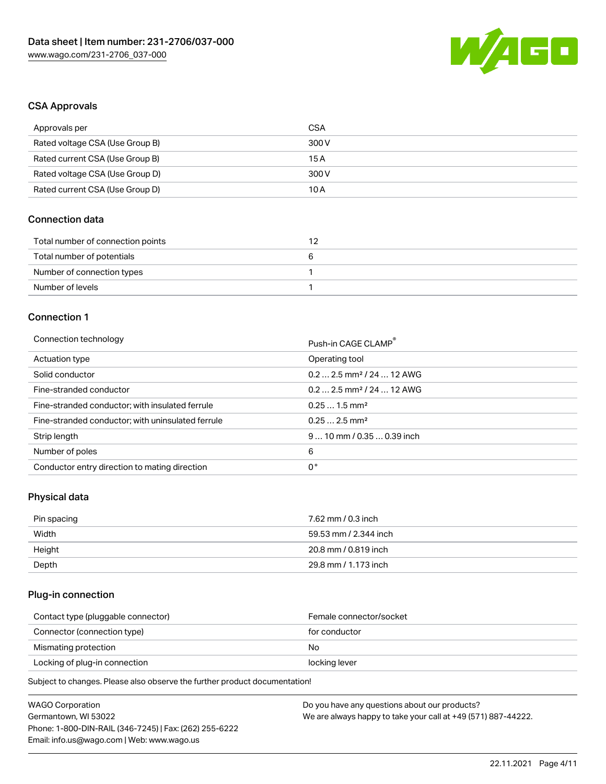

## CSA Approvals

| Approvals per                   | CSA   |
|---------------------------------|-------|
| Rated voltage CSA (Use Group B) | 300 V |
| Rated current CSA (Use Group B) | 15 A  |
| Rated voltage CSA (Use Group D) | 300 V |
| Rated current CSA (Use Group D) | 10 A  |

# Connection data

| Total number of connection points |   |
|-----------------------------------|---|
| Total number of potentials        | n |
| Number of connection types        |   |
| Number of levels                  |   |

#### Connection 1

#### Connection technology **Push-in CAGE CLAMP<sup>®</sup>**

| ັ                                                 | Push-in CAGE CLAMP                    |
|---------------------------------------------------|---------------------------------------|
| Actuation type                                    | Operating tool                        |
| Solid conductor                                   | $0.22.5$ mm <sup>2</sup> / 24  12 AWG |
| Fine-stranded conductor                           | $0.22.5$ mm <sup>2</sup> / 24  12 AWG |
| Fine-stranded conductor; with insulated ferrule   | $0.251.5$ mm <sup>2</sup>             |
| Fine-stranded conductor; with uninsulated ferrule | $0.252.5$ mm <sup>2</sup>             |
| Strip length                                      | $910$ mm / 0.35  0.39 inch            |
| Number of poles                                   | 6                                     |
| Conductor entry direction to mating direction     | 0°                                    |

# Physical data

| Pin spacing | 7.62 mm / 0.3 inch    |
|-------------|-----------------------|
| Width       | 59.53 mm / 2.344 inch |
| Height      | 20.8 mm / 0.819 inch  |
| Depth       | 29.8 mm / 1.173 inch  |

## Plug-in connection

| Contact type (pluggable connector) | Female connector/socket |
|------------------------------------|-------------------------|
| Connector (connection type)        | for conductor           |
| Mismating protection               | No                      |
| Locking of plug-in connection      | locking lever           |
|                                    |                         |

Subject to changes. Please also observe the further product documentation!

| <b>WAGO Corporation</b>                                | Do you have any questions about our products?                 |
|--------------------------------------------------------|---------------------------------------------------------------|
| Germantown, WI 53022                                   | We are always happy to take your call at +49 (571) 887-44222. |
| Phone: 1-800-DIN-RAIL (346-7245)   Fax: (262) 255-6222 |                                                               |
| Email: info.us@wago.com   Web: www.wago.us             |                                                               |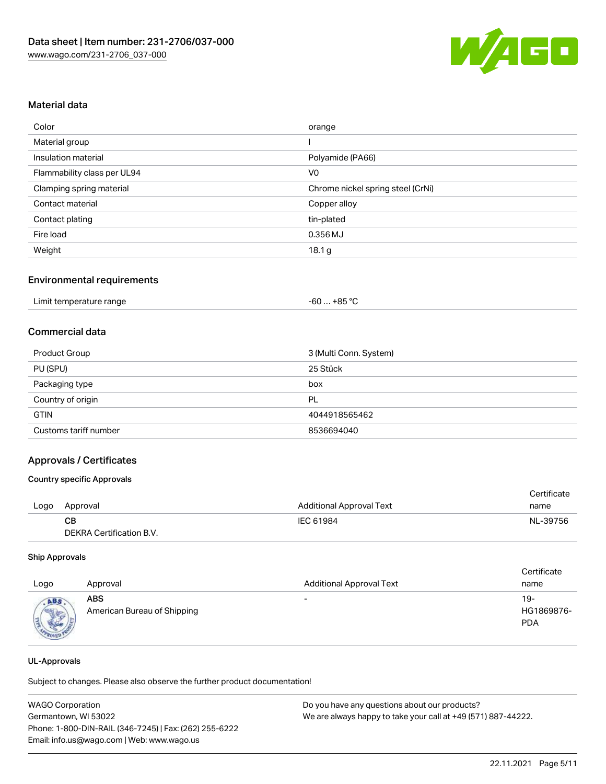

## Material data

| Color                       | orange                            |
|-----------------------------|-----------------------------------|
| Material group              |                                   |
| Insulation material         | Polyamide (PA66)                  |
| Flammability class per UL94 | V <sub>0</sub>                    |
| Clamping spring material    | Chrome nickel spring steel (CrNi) |
| Contact material            | Copper alloy                      |
| Contact plating             | tin-plated                        |
| Fire load                   | 0.356 MJ                          |
| Weight                      | 18.1 <sub>g</sub>                 |

#### Environmental requirements

## Commercial data

| <b>Product Group</b>  | 3 (Multi Conn. System) |
|-----------------------|------------------------|
| PU (SPU)              | 25 Stück               |
| Packaging type        | box                    |
| Country of origin     | PL                     |
| <b>GTIN</b>           | 4044918565462          |
| Customs tariff number | 8536694040             |

#### Approvals / Certificates

#### Country specific Approvals

|      |                          |                                 | Certificate |
|------|--------------------------|---------------------------------|-------------|
| Logo | Approval                 | <b>Additional Approval Text</b> | name        |
|      | CB.                      | IEC 61984                       | NL-39756    |
|      | DEKRA Certification B.V. |                                 |             |

#### Ship Approvals

| Logo | Approval                                  | <b>Additional Approval Text</b> | Certificate<br>name             |
|------|-------------------------------------------|---------------------------------|---------------------------------|
| ABS  | <b>ABS</b><br>American Bureau of Shipping | $\overline{\phantom{a}}$        | 19-<br>HG1869876-<br><b>PDA</b> |

#### UL-Approvals

Subject to changes. Please also observe the further product documentation!

| <b>WAGO Corporation</b>                                | Do you have any questions about our products?                 |
|--------------------------------------------------------|---------------------------------------------------------------|
| Germantown, WI 53022                                   | We are always happy to take your call at +49 (571) 887-44222. |
| Phone: 1-800-DIN-RAIL (346-7245)   Fax: (262) 255-6222 |                                                               |
| Email: info.us@wago.com   Web: www.wago.us             |                                                               |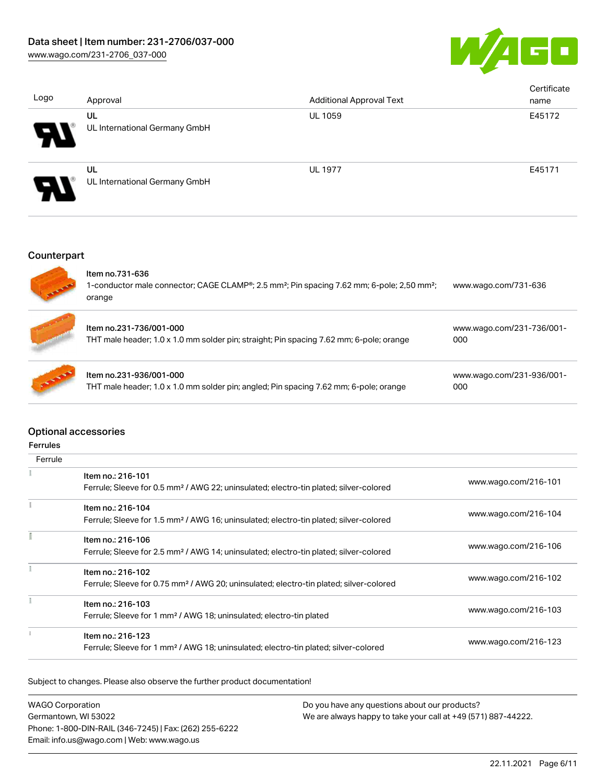

| Logo                       | Approval                            | <b>Additional Approval Text</b> | Certificate<br>name |
|----------------------------|-------------------------------------|---------------------------------|---------------------|
| $\boldsymbol{\mathcal{P}}$ | UL<br>UL International Germany GmbH | <b>UL 1059</b>                  | E45172              |
| Ъ                          | UL<br>UL International Germany GmbH | <b>UL 1977</b>                  | E45171              |

# **Counterpart**

| <b>CALIFORNIA</b> | Item no.731-636<br>1-conductor male connector; CAGE CLAMP®; 2.5 mm <sup>2</sup> ; Pin spacing 7.62 mm; 6-pole; 2,50 mm <sup>2</sup> ;<br>orange | www.wago.com/731-636             |
|-------------------|-------------------------------------------------------------------------------------------------------------------------------------------------|----------------------------------|
|                   | Item no.231-736/001-000<br>THT male header; 1.0 x 1.0 mm solder pin; straight; Pin spacing 7.62 mm; 6-pole; orange                              | www.wago.com/231-736/001-<br>000 |
| <b>AND REA</b>    | Item no.231-936/001-000<br>THT male header; 1.0 x 1.0 mm solder pin; angled; Pin spacing 7.62 mm; 6-pole; orange                                | www.wago.com/231-936/001-<br>000 |

## Optional accessories

## Ferrules

| Ferrule |                                                                                                                         |                      |
|---------|-------------------------------------------------------------------------------------------------------------------------|----------------------|
|         | Item no.: 216-101<br>Ferrule; Sleeve for 0.5 mm <sup>2</sup> / AWG 22; uninsulated; electro-tin plated; silver-colored  | www.wago.com/216-101 |
|         | Item no.: 216-104<br>Ferrule; Sleeve for 1.5 mm <sup>2</sup> / AWG 16; uninsulated; electro-tin plated; silver-colored  | www.wago.com/216-104 |
|         | Item no.: 216-106<br>Ferrule; Sleeve for 2.5 mm <sup>2</sup> / AWG 14; uninsulated; electro-tin plated; silver-colored  | www.wago.com/216-106 |
|         | Item no.: 216-102<br>Ferrule; Sleeve for 0.75 mm <sup>2</sup> / AWG 20; uninsulated; electro-tin plated; silver-colored | www.wago.com/216-102 |
|         | Item no.: 216-103<br>Ferrule; Sleeve for 1 mm <sup>2</sup> / AWG 18; uninsulated; electro-tin plated                    | www.wago.com/216-103 |
|         | Item no.: 216-123<br>Ferrule; Sleeve for 1 mm <sup>2</sup> / AWG 18; uninsulated; electro-tin plated; silver-colored    | www.wago.com/216-123 |

Subject to changes. Please also observe the further product documentation!

WAGO Corporation Germantown, WI 53022 Phone: 1-800-DIN-RAIL (346-7245) | Fax: (262) 255-6222 Email: info.us@wago.com | Web: www.wago.us Do you have any questions about our products? We are always happy to take your call at +49 (571) 887-44222.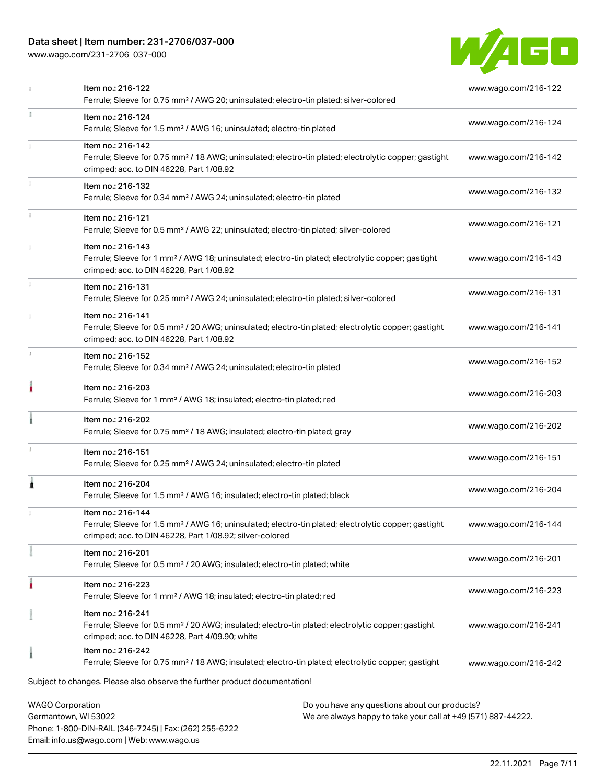# Data sheet | Item number: 231-2706/037-000

Phone: 1-800-DIN-RAIL (346-7245) | Fax: (262) 255-6222

Email: info.us@wago.com | Web: www.wago.us

[www.wago.com/231-2706\\_037-000](http://www.wago.com/231-2706_037-000)



|    | Item no.: 216-122<br>Ferrule; Sleeve for 0.75 mm <sup>2</sup> / AWG 20; uninsulated; electro-tin plated; silver-colored                                                                           | www.wago.com/216-122                                                                                           |
|----|---------------------------------------------------------------------------------------------------------------------------------------------------------------------------------------------------|----------------------------------------------------------------------------------------------------------------|
| I. | Item no.: 216-124<br>Ferrule; Sleeve for 1.5 mm <sup>2</sup> / AWG 16; uninsulated; electro-tin plated                                                                                            | www.wago.com/216-124                                                                                           |
|    | Item no.: 216-142<br>Ferrule; Sleeve for 0.75 mm <sup>2</sup> / 18 AWG; uninsulated; electro-tin plated; electrolytic copper; gastight<br>crimped; acc. to DIN 46228, Part 1/08.92                | www.wago.com/216-142                                                                                           |
|    | Item no.: 216-132<br>Ferrule; Sleeve for 0.34 mm <sup>2</sup> / AWG 24; uninsulated; electro-tin plated                                                                                           | www.wago.com/216-132                                                                                           |
|    | Item no.: 216-121<br>Ferrule; Sleeve for 0.5 mm <sup>2</sup> / AWG 22; uninsulated; electro-tin plated; silver-colored                                                                            | www.wago.com/216-121                                                                                           |
|    | Item no.: 216-143<br>Ferrule; Sleeve for 1 mm <sup>2</sup> / AWG 18; uninsulated; electro-tin plated; electrolytic copper; gastight<br>crimped; acc. to DIN 46228, Part 1/08.92                   | www.wago.com/216-143                                                                                           |
|    | Item no.: 216-131<br>Ferrule; Sleeve for 0.25 mm <sup>2</sup> / AWG 24; uninsulated; electro-tin plated; silver-colored                                                                           | www.wago.com/216-131                                                                                           |
|    | Item no.: 216-141<br>Ferrule; Sleeve for 0.5 mm <sup>2</sup> / 20 AWG; uninsulated; electro-tin plated; electrolytic copper; gastight<br>crimped; acc. to DIN 46228, Part 1/08.92                 | www.wago.com/216-141                                                                                           |
|    | Item no.: 216-152<br>Ferrule; Sleeve for 0.34 mm <sup>2</sup> / AWG 24; uninsulated; electro-tin plated                                                                                           | www.wago.com/216-152                                                                                           |
|    | Item no.: 216-203<br>Ferrule; Sleeve for 1 mm <sup>2</sup> / AWG 18; insulated; electro-tin plated; red                                                                                           | www.wago.com/216-203                                                                                           |
|    | Item no.: 216-202<br>Ferrule; Sleeve for 0.75 mm <sup>2</sup> / 18 AWG; insulated; electro-tin plated; gray                                                                                       | www.wago.com/216-202                                                                                           |
| 1  | Item no.: 216-151<br>Ferrule; Sleeve for 0.25 mm <sup>2</sup> / AWG 24; uninsulated; electro-tin plated                                                                                           | www.wago.com/216-151                                                                                           |
| Â  | Item no.: 216-204<br>Ferrule; Sleeve for 1.5 mm <sup>2</sup> / AWG 16; insulated; electro-tin plated; black                                                                                       | www.wago.com/216-204                                                                                           |
|    | Item no.: 216-144<br>Ferrule; Sleeve for 1.5 mm <sup>2</sup> / AWG 16; uninsulated; electro-tin plated; electrolytic copper; gastight<br>crimped; acc. to DIN 46228, Part 1/08.92; silver-colored | www.wago.com/216-144                                                                                           |
|    | Item no.: 216-201<br>Ferrule; Sleeve for 0.5 mm <sup>2</sup> / 20 AWG; insulated; electro-tin plated; white                                                                                       | www.wago.com/216-201                                                                                           |
|    | Item no.: 216-223<br>Ferrule; Sleeve for 1 mm <sup>2</sup> / AWG 18; insulated; electro-tin plated; red                                                                                           | www.wago.com/216-223                                                                                           |
|    | Item no.: 216-241<br>Ferrule; Sleeve for 0.5 mm <sup>2</sup> / 20 AWG; insulated; electro-tin plated; electrolytic copper; gastight<br>crimped; acc. to DIN 46228, Part 4/09.90; white            | www.wago.com/216-241                                                                                           |
|    | Item no.: 216-242<br>Ferrule; Sleeve for 0.75 mm <sup>2</sup> / 18 AWG; insulated; electro-tin plated; electrolytic copper; gastight                                                              | www.wago.com/216-242                                                                                           |
|    | Subject to changes. Please also observe the further product documentation!                                                                                                                        |                                                                                                                |
|    | <b>WAGO Corporation</b><br>Germantown, WI 53022                                                                                                                                                   | Do you have any questions about our products?<br>We are always happy to take your call at +49 (571) 887-44222. |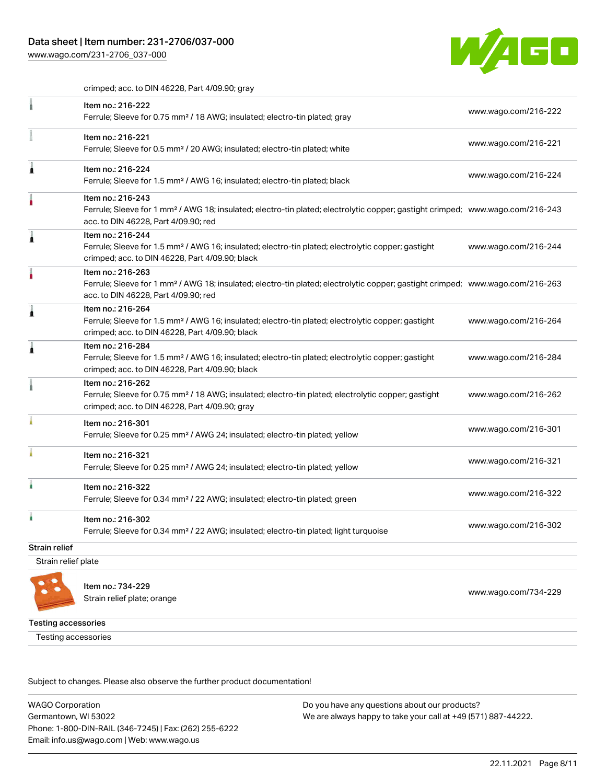[www.wago.com/231-2706\\_037-000](http://www.wago.com/231-2706_037-000)



crimped; acc. to DIN 46228, Part 4/09.90; gray

|                      | Item no.: 216-222<br>Ferrule; Sleeve for 0.75 mm <sup>2</sup> / 18 AWG; insulated; electro-tin plated; gray                                                                                             | www.wago.com/216-222 |
|----------------------|---------------------------------------------------------------------------------------------------------------------------------------------------------------------------------------------------------|----------------------|
|                      | Item no.: 216-221<br>Ferrule; Sleeve for 0.5 mm <sup>2</sup> / 20 AWG; insulated; electro-tin plated; white                                                                                             | www.wago.com/216-221 |
| Â                    | Item no.: 216-224<br>Ferrule; Sleeve for 1.5 mm <sup>2</sup> / AWG 16; insulated; electro-tin plated; black                                                                                             | www.wago.com/216-224 |
|                      | Item no.: 216-243<br>Ferrule; Sleeve for 1 mm <sup>2</sup> / AWG 18; insulated; electro-tin plated; electrolytic copper; gastight crimped; www.wago.com/216-243<br>acc. to DIN 46228, Part 4/09.90; red |                      |
| ۸                    | Item no.: 216-244<br>Ferrule; Sleeve for 1.5 mm <sup>2</sup> / AWG 16; insulated; electro-tin plated; electrolytic copper; gastight<br>crimped; acc. to DIN 46228, Part 4/09.90; black                  | www.wago.com/216-244 |
|                      | Item no.: 216-263<br>Ferrule; Sleeve for 1 mm <sup>2</sup> / AWG 18; insulated; electro-tin plated; electrolytic copper; gastight crimped; www.wago.com/216-263<br>acc. to DIN 46228, Part 4/09.90; red |                      |
|                      | Item no.: 216-264<br>Ferrule; Sleeve for 1.5 mm <sup>2</sup> / AWG 16; insulated; electro-tin plated; electrolytic copper; gastight<br>crimped; acc. to DIN 46228, Part 4/09.90; black                  | www.wago.com/216-264 |
| 1                    | Item no.: 216-284<br>Ferrule; Sleeve for 1.5 mm <sup>2</sup> / AWG 16; insulated; electro-tin plated; electrolytic copper; gastight<br>crimped; acc. to DIN 46228, Part 4/09.90; black                  | www.wago.com/216-284 |
|                      | Item no.: 216-262<br>Ferrule; Sleeve for 0.75 mm <sup>2</sup> / 18 AWG; insulated; electro-tin plated; electrolytic copper; gastight<br>crimped; acc. to DIN 46228, Part 4/09.90; gray                  | www.wago.com/216-262 |
|                      | Item no.: 216-301<br>Ferrule; Sleeve for 0.25 mm <sup>2</sup> / AWG 24; insulated; electro-tin plated; yellow                                                                                           | www.wago.com/216-301 |
|                      | Item no.: 216-321<br>Ferrule; Sleeve for 0.25 mm <sup>2</sup> / AWG 24; insulated; electro-tin plated; yellow                                                                                           | www.wago.com/216-321 |
|                      | Item no.: 216-322<br>Ferrule; Sleeve for 0.34 mm <sup>2</sup> / 22 AWG; insulated; electro-tin plated; green                                                                                            | www.wago.com/216-322 |
| ì                    | Item no.: 216-302<br>Ferrule; Sleeve for 0.34 mm <sup>2</sup> / 22 AWG; insulated; electro-tin plated; light turquoise                                                                                  | www.wago.com/216-302 |
| <b>Strain relief</b> |                                                                                                                                                                                                         |                      |
| Strain relief plate  |                                                                                                                                                                                                         |                      |



Item no.: 734-229 Strain relief plate; orange [www.wago.com/734-229](http://www.wago.com/734-229)

Testing accessories

Testing accessories

Subject to changes. Please also observe the further product documentation!

WAGO Corporation Germantown, WI 53022 Phone: 1-800-DIN-RAIL (346-7245) | Fax: (262) 255-6222 Email: info.us@wago.com | Web: www.wago.us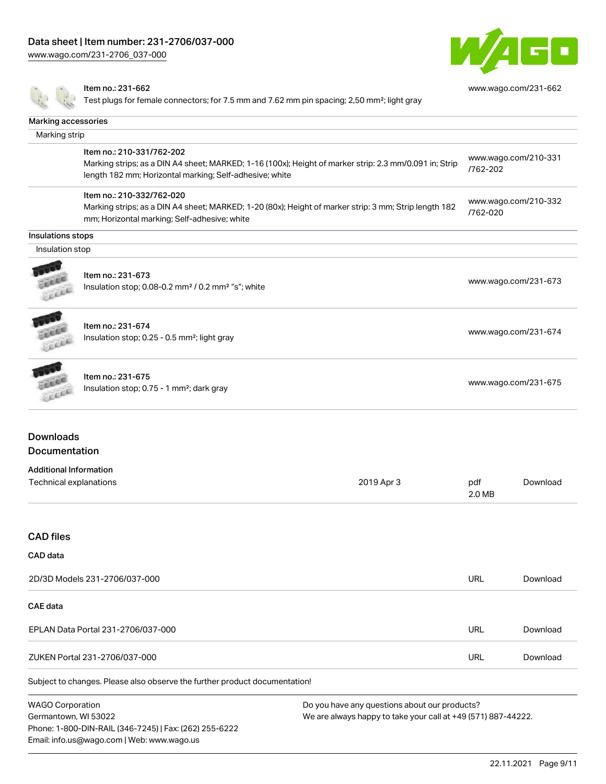[www.wago.com/231-2706\\_037-000](http://www.wago.com/231-2706_037-000)



[www.wago.com/231-662](http://www.wago.com/231-662)

#### Item no.: 231-662

Test plugs for female connectors; for 7.5 mm and 7.62 mm pin spacing; 2,50 mm²; light gray

| Marking accessories                                     |                                                                                                                                                                                                |               |                      |
|---------------------------------------------------------|------------------------------------------------------------------------------------------------------------------------------------------------------------------------------------------------|---------------|----------------------|
| Marking strip                                           |                                                                                                                                                                                                |               |                      |
|                                                         | Item no.: 210-331/762-202<br>Marking strips; as a DIN A4 sheet; MARKED; 1-16 (100x); Height of marker strip: 2.3 mm/0.091 in; Strip<br>length 182 mm; Horizontal marking; Self-adhesive; white | /762-202      | www.wago.com/210-331 |
|                                                         | Item no.: 210-332/762-020<br>Marking strips; as a DIN A4 sheet; MARKED; 1-20 (80x); Height of marker strip: 3 mm; Strip length 182<br>mm; Horizontal marking; Self-adhesive; white             | /762-020      | www.wago.com/210-332 |
| Insulations stops                                       |                                                                                                                                                                                                |               |                      |
| Insulation stop                                         |                                                                                                                                                                                                |               |                      |
|                                                         | Item no.: 231-673<br>Insulation stop; 0.08-0.2 mm <sup>2</sup> / 0.2 mm <sup>2</sup> "s"; white                                                                                                |               | www.wago.com/231-673 |
| <b>COLOR</b>                                            | Item no.: 231-674<br>Insulation stop; 0.25 - 0.5 mm <sup>2</sup> ; light gray                                                                                                                  |               | www.wago.com/231-674 |
|                                                         | Item no.: 231-675<br>Insulation stop; 0.75 - 1 mm <sup>2</sup> ; dark gray                                                                                                                     |               | www.wago.com/231-675 |
| <b>Downloads</b>                                        |                                                                                                                                                                                                |               |                      |
| <b>Documentation</b>                                    |                                                                                                                                                                                                |               |                      |
| <b>Additional Information</b><br>Technical explanations | 2019 Apr 3                                                                                                                                                                                     | pdf<br>2.0 MB | Download             |
| <b>CAD files</b>                                        |                                                                                                                                                                                                |               |                      |
| <b>CAD</b> data                                         |                                                                                                                                                                                                |               |                      |
|                                                         | 2D/3D Models 231-2706/037-000                                                                                                                                                                  | <b>URL</b>    | Download             |
| <b>CAE</b> data                                         |                                                                                                                                                                                                |               |                      |

| $7$ IKFN $\blacksquare$<br>000 <sub>1</sub><br>71 1671<br>וריד | URL |  |
|----------------------------------------------------------------|-----|--|

EPLAN Data Portal 231-2706/037-000 URL [Download](https://www.wago.com/global/d/EPLAN_URLS_231-2706%252F037-000)

Subject to changes. Please also observe the further product documentation!

WAGO Corporation Germantown, WI 53022 Phone: 1-800-DIN-RAIL (346-7245) | Fax: (262) 255-6222 Email: info.us@wago.com | Web: www.wago.us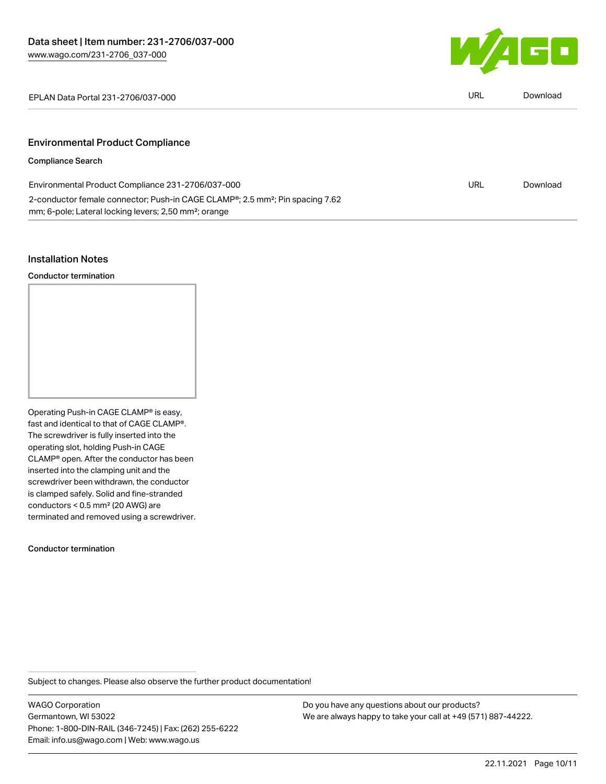

EPLAN Data Portal 231-2706/037-000 URL [Download](https://www.wago.com/global/d/EPLAN_URLS_231-2706_037-000)

# Environmental Product Compliance

## Compliance Search

| Environmental Product Compliance 231-2706/037-000                                                      | URL | Download |
|--------------------------------------------------------------------------------------------------------|-----|----------|
| 2-conductor female connector; Push-in CAGE CLAMP <sup>®</sup> ; 2.5 mm <sup>2</sup> ; Pin spacing 7.62 |     |          |
| mm; 6-pole; Lateral locking levers; 2,50 mm <sup>2</sup> ; orange                                      |     |          |

#### Installation Notes

Conductor termination

Operating Push-in CAGE CLAMP® is easy, fast and identical to that of CAGE CLAMP®. The screwdriver is fully inserted into the operating slot, holding Push-in CAGE CLAMP® open. After the conductor has been inserted into the clamping unit and the screwdriver been withdrawn, the conductor is clamped safely. Solid and fine-stranded conductors < 0.5 mm² (20 AWG) are terminated and removed using a screwdriver.

Conductor termination

Subject to changes. Please also observe the further product documentation!

WAGO Corporation Germantown, WI 53022 Phone: 1-800-DIN-RAIL (346-7245) | Fax: (262) 255-6222 Email: info.us@wago.com | Web: www.wago.us